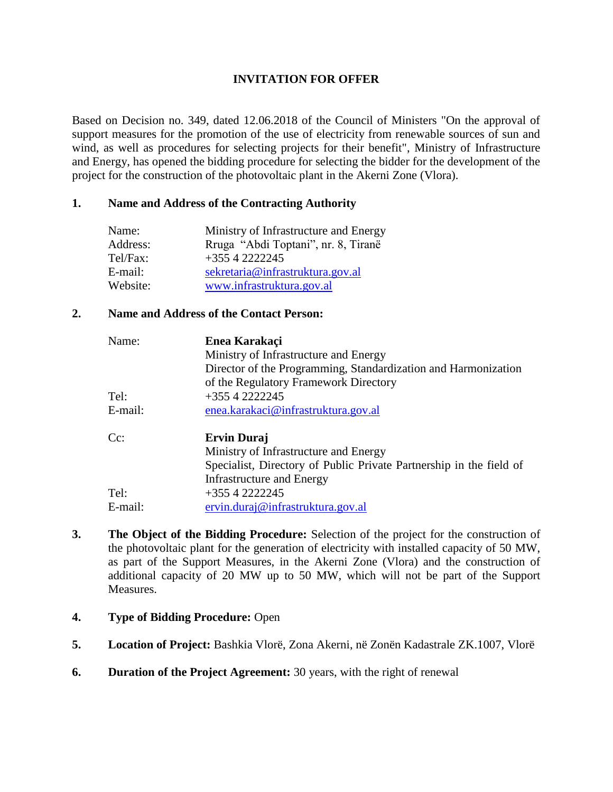## **INVITATION FOR OFFER**

Based on Decision no. 349, dated 12.06.2018 of the Council of Ministers "On the approval of support measures for the promotion of the use of electricity from renewable sources of sun and wind, as well as procedures for selecting projects for their benefit", Ministry of Infrastructure and Energy, has opened the bidding procedure for selecting the bidder for the development of the project for the construction of the photovoltaic plant in the Akerni Zone (Vlora).

## **1. Name and Address of the Contracting Authority**

| Name:    | Ministry of Infrastructure and Energy |
|----------|---------------------------------------|
| Address: | Rruga "Abdi Toptani", nr. 8, Tiranë   |
| Tel/Fax: | $+3554222245$                         |
| E-mail:  | sekretaria@infrastruktura.gov.al      |
| Website: | www.infrastruktura.gov.al             |

## **2. Name and Address of the Contact Person:**

| Name:   | Enea Karakaci                                                       |
|---------|---------------------------------------------------------------------|
|         | Ministry of Infrastructure and Energy                               |
|         | Director of the Programming, Standardization and Harmonization      |
|         | of the Regulatory Framework Directory                               |
| Tel:    | $+3554222245$                                                       |
| E-mail: | enea.karakaci@infrastruktura.gov.al                                 |
| $Cc$ :  | <b>Ervin Duraj</b>                                                  |
|         | Ministry of Infrastructure and Energy                               |
|         | Specialist, Directory of Public Private Partnership in the field of |
|         | Infrastructure and Energy                                           |
| Tel:    | $+3554222245$                                                       |
| E-mail: | ervin.duraj@infrastruktura.gov.al                                   |

- **3. The Object of the Bidding Procedure:** Selection of the project for the construction of the photovoltaic plant for the generation of electricity with installed capacity of 50 MW, as part of the Support Measures, in the Akerni Zone (Vlora) and the construction of additional capacity of 20 MW up to 50 MW, which will not be part of the Support **Measures**.
- **4. Type of Bidding Procedure:** Open
- **5. Location of Project:** Bashkia Vlorë, Zona Akerni, në Zonën Kadastrale ZK.1007, Vlorë
- **6. Duration of the Project Agreement:** 30 years, with the right of renewal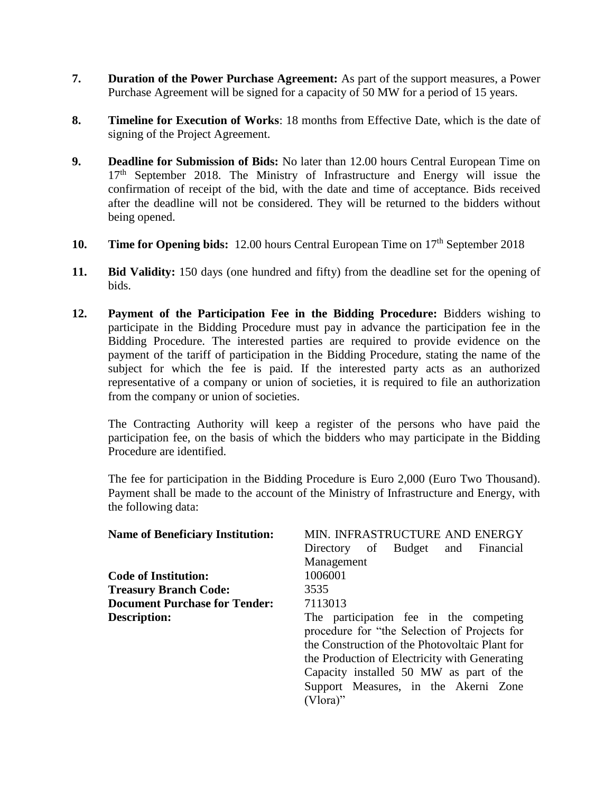- **7. Duration of the Power Purchase Agreement:** As part of the support measures, a Power Purchase Agreement will be signed for a capacity of 50 MW for a period of 15 years.
- **8. Timeline for Execution of Works**: 18 months from Effective Date, which is the date of signing of the Project Agreement.
- **9. Deadline for Submission of Bids:** No later than 12.00 hours Central European Time on  $17<sup>th</sup>$  September 2018. The Ministry of Infrastructure and Energy will issue the confirmation of receipt of the bid, with the date and time of acceptance. Bids received after the deadline will not be considered. They will be returned to the bidders without being opened.
- **10. Time for Opening bids:** 12.00 hours Central European Time on 17<sup>th</sup> September 2018
- **11. Bid Validity:** 150 days (one hundred and fifty) from the deadline set for the opening of bids.
- **12. Payment of the Participation Fee in the Bidding Procedure:** Bidders wishing to participate in the Bidding Procedure must pay in advance the participation fee in the Bidding Procedure. The interested parties are required to provide evidence on the payment of the tariff of participation in the Bidding Procedure, stating the name of the subject for which the fee is paid. If the interested party acts as an authorized representative of a company or union of societies, it is required to file an authorization from the company or union of societies.

The Contracting Authority will keep a register of the persons who have paid the participation fee, on the basis of which the bidders who may participate in the Bidding Procedure are identified.

The fee for participation in the Bidding Procedure is Euro 2,000 (Euro Two Thousand). Payment shall be made to the account of the Ministry of Infrastructure and Energy, with the following data:

| <b>Name of Beneficiary Institution:</b> | MIN. INFRASTRUCTURE AND ENERGY                                                                                                                                                                                                                                                              |
|-----------------------------------------|---------------------------------------------------------------------------------------------------------------------------------------------------------------------------------------------------------------------------------------------------------------------------------------------|
|                                         | of Budget and<br>Directory<br>Financial                                                                                                                                                                                                                                                     |
|                                         | Management                                                                                                                                                                                                                                                                                  |
| <b>Code of Institution:</b>             | 1006001                                                                                                                                                                                                                                                                                     |
| <b>Treasury Branch Code:</b>            | 3535                                                                                                                                                                                                                                                                                        |
| <b>Document Purchase for Tender:</b>    | 7113013                                                                                                                                                                                                                                                                                     |
| Description:                            | The participation fee in the competing<br>procedure for "the Selection of Projects for<br>the Construction of the Photovoltaic Plant for<br>the Production of Electricity with Generating<br>Capacity installed 50 MW as part of the<br>Support Measures, in the Akerni Zone<br>$(Vlora)$ " |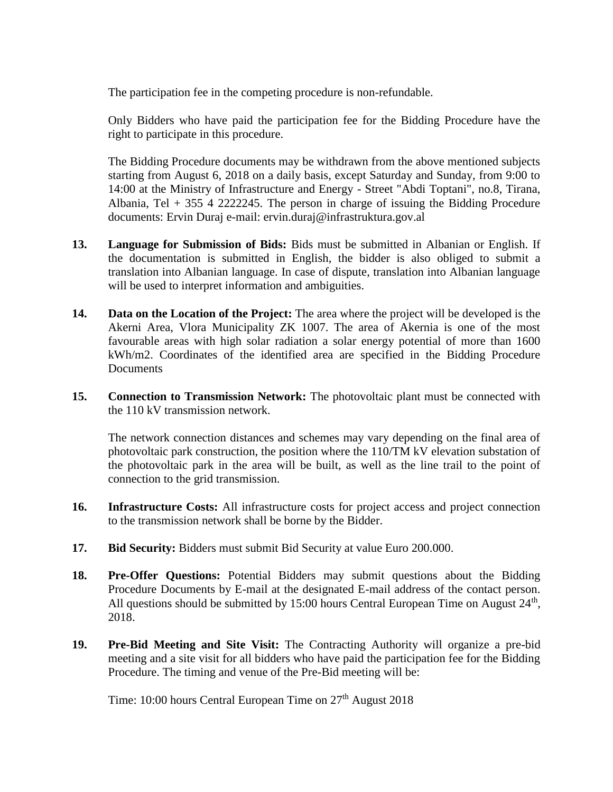The participation fee in the competing procedure is non-refundable.

Only Bidders who have paid the participation fee for the Bidding Procedure have the right to participate in this procedure.

The Bidding Procedure documents may be withdrawn from the above mentioned subjects starting from August 6, 2018 on a daily basis, except Saturday and Sunday, from 9:00 to 14:00 at the Ministry of Infrastructure and Energy - Street "Abdi Toptani", no.8, Tirana, Albania, Tel  $+355$  4 2222245. The person in charge of issuing the Bidding Procedure documents: Ervin Duraj e-mail: ervin.duraj@infrastruktura.gov.al

- **13. Language for Submission of Bids:** Bids must be submitted in Albanian or English. If the documentation is submitted in English, the bidder is also obliged to submit a translation into Albanian language. In case of dispute, translation into Albanian language will be used to interpret information and ambiguities.
- **14. Data on the Location of the Project:** The area where the project will be developed is the Akerni Area, Vlora Municipality ZK 1007. The area of Akernia is one of the most favourable areas with high solar radiation a solar energy potential of more than 1600 kWh/m2. Coordinates of the identified area are specified in the Bidding Procedure Documents
- **15. Connection to Transmission Network:** The photovoltaic plant must be connected with the 110 kV transmission network.

The network connection distances and schemes may vary depending on the final area of photovoltaic park construction, the position where the 110/TM kV elevation substation of the photovoltaic park in the area will be built, as well as the line trail to the point of connection to the grid transmission.

- **16. Infrastructure Costs:** All infrastructure costs for project access and project connection to the transmission network shall be borne by the Bidder.
- **17. Bid Security:** Bidders must submit Bid Security at value Euro 200.000.
- **18. Pre-Offer Questions:** Potential Bidders may submit questions about the Bidding Procedure Documents by E-mail at the designated E-mail address of the contact person. All questions should be submitted by 15:00 hours Central European Time on August  $24<sup>th</sup>$ , 2018.
- **19. Pre-Bid Meeting and Site Visit:** The Contracting Authority will organize a pre-bid meeting and a site visit for all bidders who have paid the participation fee for the Bidding Procedure. The timing and venue of the Pre-Bid meeting will be:

Time: 10:00 hours Central European Time on  $27<sup>th</sup>$  August 2018